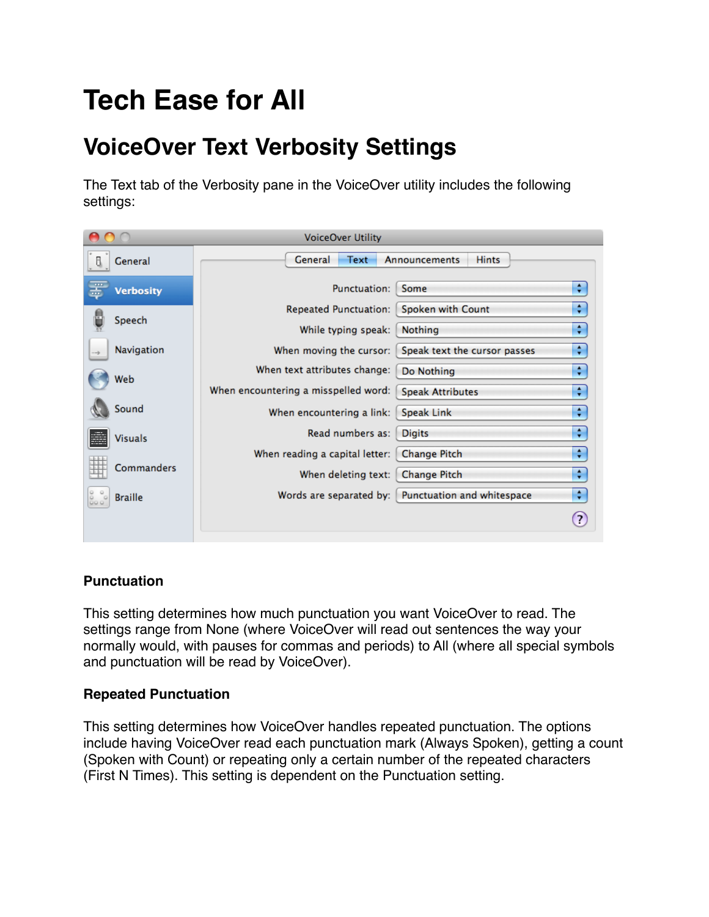# **Tech Ease for All**

# **VoiceOver Text Verbosity Settings**

The Text tab of the Verbosity pane in the VoiceOver utility includes the following settings:

| <b>VoiceOver Utility</b>                      |                                                  |                                   |
|-----------------------------------------------|--------------------------------------------------|-----------------------------------|
| General<br>8                                  | General<br>Text<br>Announcements<br><b>Hints</b> |                                   |
| œ<br><b>Verbosity</b>                         | Punctuation:<br>Some                             | ÷                                 |
|                                               | <b>Repeated Punctuation:</b>                     | ÷<br>Spoken with Count            |
| Speech                                        | Nothing<br>While typing speak:                   | ÷                                 |
| Navigation<br>$\rightarrow$                   | When moving the cursor:                          | ÷<br>Speak text the cursor passes |
| Web                                           | When text attributes change:<br>Do Nothing       | ÷                                 |
|                                               | When encountering a misspelled word:             | ÷<br><b>Speak Attributes</b>      |
| Sound                                         | <b>Speak Link</b><br>When encountering a link:   | ÷                                 |
| S.<br><b>Visuals</b>                          | Read numbers as:<br><b>Digits</b>                | ÷                                 |
|                                               | When reading a capital letter:                   | ÷<br><b>Change Pitch</b>          |
| 韮<br>Commanders                               | When deleting text:                              | ÷<br><b>Change Pitch</b>          |
| $\circ\circ\circ\circ\circ$<br><b>Braille</b> | Words are separated by:                          | ÷<br>Punctuation and whitespace   |
|                                               |                                                  | 2                                 |

# **Punctuation**

This setting determines how much punctuation you want VoiceOver to read. The settings range from None (where VoiceOver will read out sentences the way your normally would, with pauses for commas and periods) to All (where all special symbols and punctuation will be read by VoiceOver).

### **Repeated Punctuation**

This setting determines how VoiceOver handles repeated punctuation. The options include having VoiceOver read each punctuation mark (Always Spoken), getting a count (Spoken with Count) or repeating only a certain number of the repeated characters (First N Times). This setting is dependent on the Punctuation setting.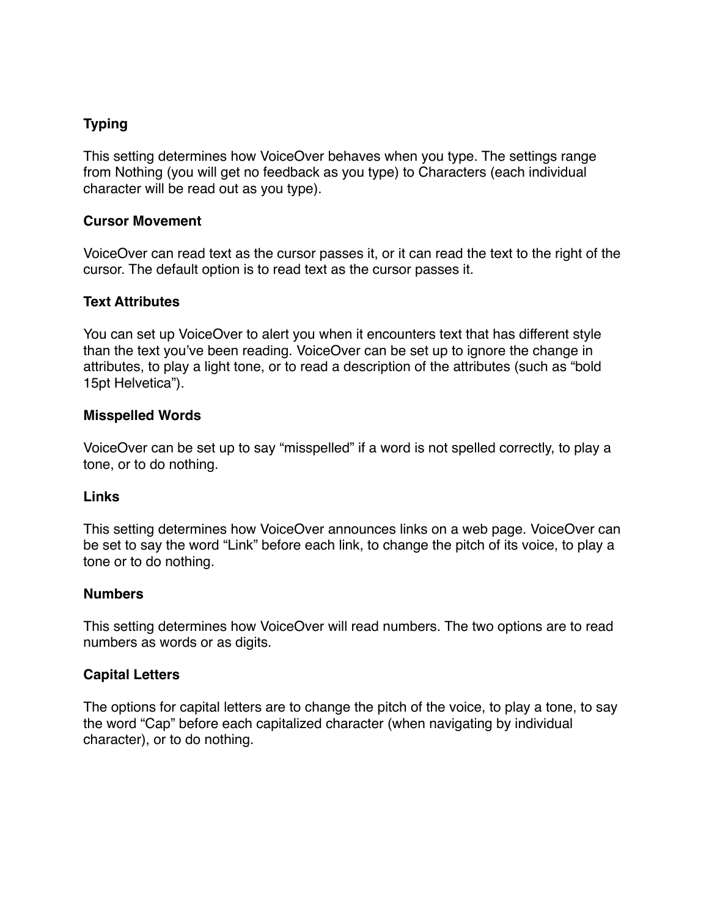## **Typing**

This setting determines how VoiceOver behaves when you type. The settings range from Nothing (you will get no feedback as you type) to Characters (each individual character will be read out as you type).

#### **Cursor Movement**

VoiceOver can read text as the cursor passes it, or it can read the text to the right of the cursor. The default option is to read text as the cursor passes it.

#### **Text Attributes**

You can set up VoiceOver to alert you when it encounters text that has different style than the text you've been reading. VoiceOver can be set up to ignore the change in attributes, to play a light tone, or to read a description of the attributes (such as "bold 15pt Helvetica").

#### **Misspelled Words**

VoiceOver can be set up to say "misspelled" if a word is not spelled correctly, to play a tone, or to do nothing.

#### **Links**

This setting determines how VoiceOver announces links on a web page. VoiceOver can be set to say the word "Link" before each link, to change the pitch of its voice, to play a tone or to do nothing.

#### **Numbers**

This setting determines how VoiceOver will read numbers. The two options are to read numbers as words or as digits.

#### **Capital Letters**

The options for capital letters are to change the pitch of the voice, to play a tone, to say the word "Cap" before each capitalized character (when navigating by individual character), or to do nothing.